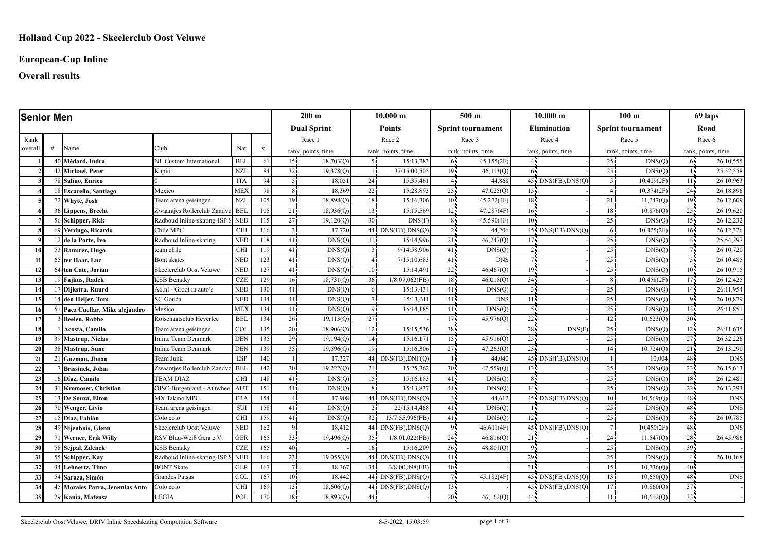# **European-Cup Inline**

## **Overall results**

| <b>Senior Men</b> |   |                                 |                            |            |     | $200 \text{ m}$    |           | 10.000 m           |                     | 500 <sub>m</sub>         |            | 10.000 m           |                          | 100 <sub>m</sub>         |            | 69 laps            |            |
|-------------------|---|---------------------------------|----------------------------|------------|-----|--------------------|-----------|--------------------|---------------------|--------------------------|------------|--------------------|--------------------------|--------------------------|------------|--------------------|------------|
|                   |   |                                 |                            |            |     | <b>Dual Sprint</b> |           | <b>Points</b>      |                     | <b>Sprint tournament</b> |            | <b>Elimination</b> |                          | <b>Sprint tournament</b> |            | Road               |            |
| Rank              |   |                                 |                            |            |     | Race 1             |           | Race 2             |                     | Race 3                   |            | Race 4             |                          |                          | Race 5     | Race 6             |            |
| overall           | # | Name                            | Club                       | Nat        | Σ   | rank, points, time |           | rank, points, time |                     | rank, points, time       |            | rank, points, time |                          | rank, points, time       |            | rank, points, time |            |
|                   |   | 40 Médard, Indra                | NL Custom International    | <b>BEL</b> | 61  | 15 <sub>1</sub>    | 18,703(Q) | -51                | 15:13,283           | 65                       | 45,155(2F) |                    |                          | $25 -$                   | DNS(Q)     | 65                 | 26:10,555  |
|                   |   | 42 Michael, Peter               | Kapiti                     | <b>NZI</b> | 84  | 32.                | 19,378(Q) |                    | 37/15:00,505        | 19 <sup>7</sup>          | 46,113(Q)  |                    |                          | 25 <sub>1</sub>          | DNS(Q)     |                    | 25:52,558  |
|                   |   | 78 Salino, Enrico               |                            | <b>ITA</b> | 94  | 55                 | 18,051    | $24 -$             | 15:35,461           | $\overline{4}$           | 44,868     |                    | $45$ , $DNS(FB), DNS(Q)$ | -55                      | 10,409(2F) | $11 -$             | 26:10,963  |
|                   |   | 8 Escareño, Santiago            | Mexico                     | <b>MEX</b> | 98  | 8                  | 18,369    | 22                 | 15:28,893           | 25 <sup>7</sup>          | 47,025(Q)  | 15 <sub>1</sub>    |                          | 4.                       | 10,374(2F) | 24                 | 26:18,896  |
|                   |   | 72 Whyte, Josh                  | Team arena geisingen       | <b>NZL</b> | 105 | 19 <sub>1</sub>    | 18,898(O) | 18 <sup>1</sup>    | 15:16,306           | 10 <sup>7</sup>          | 45,272(4F) | 18 <sup>1</sup>    |                          | 21 <sub>1</sub>          | 11,247(0)  | $19 -$             | 26:12,609  |
|                   |   | 36 Lippens, Brecht              | Zwaantjes Rollerclub Zand  | <b>BEL</b> | 105 | 21                 | 18,936(O) | 13 <sup>1</sup>    | 15:15,569           | 12 <sup>2</sup>          | 47,287(4F) | $16 -$             |                          | $18 -$                   | 10,876(Q)  | 25 <sup>1</sup>    | 26:19,620  |
|                   |   | 56 Schipper, Rick               | Radboud Inline-skating-ISP | <b>NED</b> | 115 | 27                 | 19,120(Q) | 30 <sup>1</sup>    | DNS(F)              | 8 <sup>7</sup>           | 45,590(4F) | $10 -$             |                          | 25 <sub>1</sub>          | DNS(Q)     | $15 -$             | 26:12,232  |
|                   |   | 69 Verdugo, Ricardo             | Chile MPC                  | <b>CHI</b> | 116 | $\overline{3}$     | 17,720    |                    | 44 DNS(FB), DNS(O)  | $2^{\frac{1}{2}}$        | 44,206     |                    | 45 DNS(FB), DNS(O        | 64                       | 10,425(2F) | $16 -$             | 26:12,326  |
|                   |   | 12 de la Porte, Ivo             | Radboud Inline-skating     | <b>NED</b> | 118 | 41                 | DNS(O)    | 11                 | 15:14,996           | 21                       | 46,247(0)  | 17                 |                          | 25 <sup>1</sup>          | DNS(O)     |                    | 25:54,297  |
| 10                |   | 53 Ramírez, Hugo                | team chile                 | <b>CHI</b> | 119 | 41                 | DNS(Q)    | $\overline{3}$     | 9/14:58,906         | 41                       | DNS(Q)     |                    |                          | 25 <sup>1</sup>          | DNS(Q)     |                    | 26:10,720  |
| -11               |   | 65 ter Haar, Luc                | <b>Bont</b> skates         | <b>NED</b> | 123 | 41 <sup>1</sup>    | DNS(O)    | 41                 | 7/15:10,683         | 41                       | <b>DNS</b> |                    |                          | 25 <sub>1</sub>          | DNS(O)     | 51                 | 26:10,485  |
| 12                |   | 64 Iten Cate, Jorian            | Skeelerclub Oost Veluwe    | <b>NED</b> | 127 | 41                 | DNS(O)    | $10^1$             | 15:14,491           | 22                       | 46,467(Q)  | 19 <sub>1</sub>    |                          | $25 -$                   | DNS(O)     | $10 -$             | 26:10,915  |
| 13                |   | 19 Fajkus, Radek                | <b>KSB Benatky</b>         | <b>CZE</b> | 129 | 16 <sup>1</sup>    | 18,731(Q) | 36 <sup>1</sup>    | $1/8:07,062$ (FB)   | 18                       | 46,018(Q)  | 34                 |                          |                          | 10,458(2F) | $17 -$             | 26:12,425  |
| 14                |   | Dijkstra, Ruurd                 | A6.nl - Groot in auto's    | <b>NED</b> | 130 | 41 <sup>1</sup>    | DNS(Q)    | 61                 | 15:13,434           | 41                       | DNS(Q)     | $\mathcal{R}$      |                          | 25 <sub>1</sub>          | DNS(Q)     | $14 -$             | 26:11,954  |
| 15                |   | den Heijer, Tom                 | SC Gouda                   | <b>NED</b> | 134 | 41.                | DNS(Q)    | 7.                 | 15:13,611           | 41                       | <b>DNS</b> | 11 <sup>1</sup>    |                          | $25 -$                   | DNS(Q)     | $9 -$              | 26:10,879  |
| -16               |   | 51 Paez Cuellar, Mike alejandro | Mexico                     | <b>MEX</b> | 134 | 41                 | DNS(Q)    | 9                  | 15:14,185           | 41                       | DNS(Q)     |                    |                          | 25                       | DNS(Q)     | 13 <sup>7</sup>    | 26:11,851  |
| 17                |   | Beelen, Robbe                   | Rolschaatsclub Heverlee    | <b>BEL</b> | 134 | 26 <sup>2</sup>    | 19,113(0) | 27                 |                     | 17                       | 45,976(Q)  | 22                 |                          | 12 <sup>1</sup>          | 10,623(Q)  | 30 <sup>1</sup>    |            |
| 18                |   | Acosta, Camilo                  | Team arena geisingen       | <b>COL</b> | 135 | 20                 | 18,906(Q) | 12 <sub>1</sub>    | 15:15,536           | 38                       |            | 28                 | DNS(F)                   | $25 -$                   | DNS(Q)     | 12 <sup>1</sup>    | 26:11,635  |
| 19                |   | 39 Mastrup, Niclas              | <b>Inline Team Denmark</b> | DEN        | 135 | 29                 | 19,194(Q) | 14                 | 15:16,17            | 15 <sup>7</sup>          | 45,916(Q)  | 25                 |                          | 25 <sup>1</sup>          | DNS(Q)     | $27 -$             | 26:32,226  |
| 20                |   | 38 Mastrup, Sune                | <b>Inline Team Denmark</b> | <b>DEN</b> | 139 | 35 <sub>1</sub>    | 19,596(Q) | 19                 | 15:16,306           | 27                       | 47,263(Q)  | 23                 |                          | 14 <sub>1</sub>          | 10,724(0)  | 21                 | 26:13,290  |
| 21                |   | 21 Guzman, Jhoan                | Team Junk                  | <b>ESP</b> | 140 |                    | 17,327    |                    | 44 DNS(FB), DNF(Q)  |                          | 44,040     | 45                 | DNS(FB), DNS(Q)          |                          | 10,004     | 48 <sup>1</sup>    | <b>DNS</b> |
| 22                |   | <b>Brissinck</b> , Jolan        | Zwaantjes Rollerclub Zandy | <b>BEL</b> | 142 | 30                 | 19,222(Q) | 21 <sub>1</sub>    | 15:25,362           | 30 <sub>1</sub>          | 47,559(Q)  | $13 -$             |                          | 25                       | DNS(Q)     | 23 <sup>1</sup>    | 26:15,613  |
| 23                |   | 16 Díaz. Camilo                 | TEAM DÍAZ                  | <b>CHI</b> | 148 | 41                 | DNS(Q)    | 15 <sup>1</sup>    | 15:16,183           | 41                       | DNS(Q)     |                    |                          | 25 <sub>1</sub>          | DNS(Q)     | $18^{\frac{1}{4}}$ | 26:12,481  |
| 24                |   | 31 Kromoser, Christian          | ÖISC-Burgenland - AOwhee!  | AUT        | 151 | 41                 | DNS(Q)    | 8 <sub>1</sub>     | 15:13,837           | 41                       | DNS(Q)     | 14.                |                          | $25 -$                   | DNS(Q)     | 22                 | 26:13,293  |
| 25                |   | 13 De Souza, Elton              | MX Takino MPC              | <b>FRA</b> | 154 | 4 <sub>1</sub>     | 17,908    |                    | 44 DNS(FB), DNS(Q)  | $3^{\circ}$              | 44,612     | $45 -$             | $DNS(FB)$ , $DNS(O)$     | $10 -$                   | 10,569(0)  | $48 -$             | <b>DNS</b> |
| 26                |   | 70 Wenger, Livio                | Team arena geisingen       | <b>SUI</b> | 158 | 41                 | DNS(O)    |                    | 22/15:14,468        | 41                       | DNS(O)     |                    |                          | $25^{\circ}$             | DNS(Q)     | 48                 | <b>DNS</b> |
| 27                |   | 15 Díaz. Fabián                 | Colo colo                  | <b>CHI</b> | 159 | 41.                | DNS(O)    | $32 -$             | 13/7:55,996(FB)     | 41                       | DNS(Q)     | 12                 |                          | $25 -$                   | DNS(Q)     | 85                 | 26:10,785  |
| 28                |   | 49 Niienhuis, Glenn             | Skeelerclub Oost Veluwe    | <b>NED</b> | 162 | 9,                 | 18,412    |                    | 44, DNS(FB), DNS(O) | -95                      | 46,611(4F) |                    | 45 DNS(FB), DNS(O)       | 7.                       | 10,450(2F) | 48 <sup>1</sup>    | <b>DNS</b> |
| 29                |   | 71 Werner, Erik Willy           | RSV Blau-Weiß Gera e.V.    | <b>GER</b> | 165 | 33 <sup>2</sup>    | 19,496(Q) | 35 <sup>1</sup>    | $1/8:01,022$ (FB)   | 24                       | 46,816(0)  | 21                 |                          | 24 <sub>1</sub>          | 11,547(0)  | 28 <sup>1</sup>    | 26:45,986  |
| 30                |   | 58 Sejpal, Zdenek               | <b>KSB Benatky</b>         | <b>CZE</b> | 165 | $40^{\frac{1}{2}}$ |           | $16^{\circ}$       | 15:16,209           | 36 <sup>2</sup>          | 48,801(Q)  | $Q_{\rm I}$        |                          | $25 -$                   | DNS(Q)     | $39 -$             |            |
| 31                |   | 55 Schipper, Kay                | Radboud Inline-skating-ISP | <b>NED</b> | 166 | 23.                | 19,055(O) |                    | 44. DNS(FB), DNS(O) | 41                       |            | 29                 |                          | 25                       | DNS(Q)     | $4\cdot$           | 26:10,168  |
| 32                |   | 34 Lehnertz, Timo               | <b>BONT Skate</b>          | <b>GER</b> | 167 | 7                  | 18,367    | 34 <sub>1</sub>    | $3/8:00,898$ (FB)   | 40 <sup>2</sup>          |            | 31                 |                          | 15 <sup>1</sup>          | 10,736(Q)  | $40\cdot$          |            |
| 33                |   | 54 Saraza, Simón                | Grandes Paisas             | COL        | 167 | 10 <sub>1</sub>    | 18,442    |                    | 44 DNS(FB), DNS(Q)  | $7^{\circ}$              | 45,182(4F) | $45 -$             | DNS(FB), DNS(Q)          | 13 <sup>1</sup>          | 10,650(Q)  | 48                 | <b>DNS</b> |
| 34                |   | 45 Morales Parra, Jeremías Anto | Colo colo                  | <b>CHI</b> | 169 | 13 <sub>1</sub>    | 18,606(O) |                    | 44 DNS(FB), DNS(Q)  | 13 <sub>1</sub>          |            | 45                 | DNS(FB), DNS(Q)          | 17 <sup>1</sup>          | 10,860(Q)  | 37                 |            |
| 35                |   | 29 Kania, Mateusz               | <b>LEGIA</b>               | POL        | 170 | 18 <sup>1</sup>    | 18,893(Q) | 44                 |                     | 20 <sup>7</sup>          | 46,162(Q)  | 44                 |                          | 11                       | 10,612(Q)  | 33 <sup>2</sup>    |            |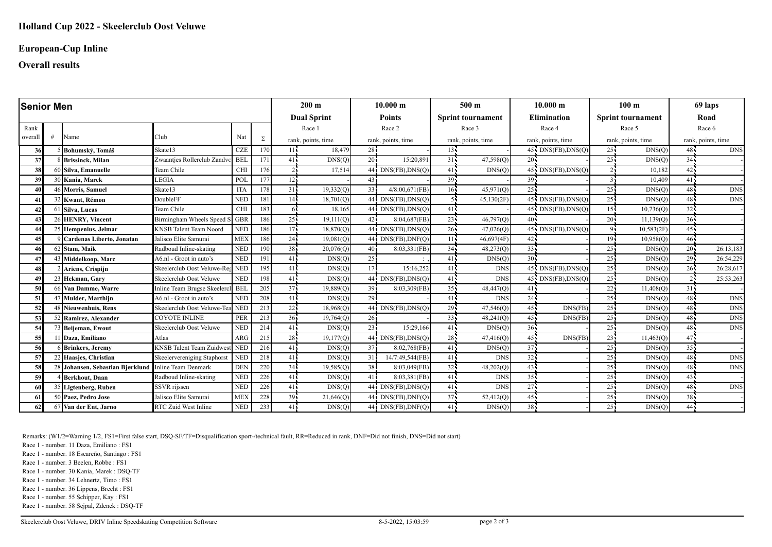#### **European-Cup Inline**

**Overall results**

| <b>Senior Men</b> |  |                                                      |                                 |            | $200 \text{ m}$ |                    | 10.000 m  |                    | 500 <sub>m</sub>                  |                          | 10.000 m   |                    | 100 <sub>m</sub>              |                          | 69 laps    |                    |            |
|-------------------|--|------------------------------------------------------|---------------------------------|------------|-----------------|--------------------|-----------|--------------------|-----------------------------------|--------------------------|------------|--------------------|-------------------------------|--------------------------|------------|--------------------|------------|
|                   |  |                                                      |                                 |            |                 | <b>Dual Sprint</b> |           | <b>Points</b>      |                                   | <b>Sprint tournament</b> |            | <b>Elimination</b> |                               | <b>Sprint tournament</b> |            | Road               |            |
| Rank              |  |                                                      |                                 |            |                 | Race 1             |           | Race 2             |                                   | Race 3                   |            | Race 4             |                               | Race 5                   |            | Race 6             |            |
| overall           |  | Name                                                 | Club                            | Nat        | Σ               | rank, points, time |           | rank, points, time |                                   | rank, points, time       |            | rank, points, time |                               | rank, points, time       |            | rank, points, time |            |
| 36                |  | Bohumský, Tomáš                                      | Skate13                         | CZE        | 170             | 11                 | 18,479    | 28.                |                                   | $13 -$                   |            |                    | $45$ DNS(FB), DNS(O)          | 25.                      | DNS(Q)     | $48 -$             | <b>DNS</b> |
| 37                |  | 8 Brissinck, Milan                                   | Zwaantjes Rollerclub Zandvc     | <b>BEL</b> | 171             | 41                 | DNS(Q)    | $20^{\frac{1}{2}}$ | 15:20,891                         | 31 <sup>1</sup>          | 47,598(Q)  | $20 -$             |                               | 25                       | DNS(Q)     | $34 -$             |            |
| 38                |  | 60 Silva, Emanuelle                                  | Team Chile                      | <b>CHI</b> | 176             |                    | 17,514    |                    | 44 DNS(FB), DNS(Q)                | 41 <sup>1</sup>          | DNS(Q)     | $45 -$             | DNS(FB), DNS(Q)               |                          | 10,182     | $42 -$             |            |
| 39                |  | 30 Kania, Marek                                      | <b>LEGIA</b>                    | POL        | 177             | 12 <sub>1</sub>    |           | 43                 |                                   | $39 -$                   |            | $39 -$             |                               |                          | 10,409     | 41                 |            |
| 40                |  | 46 Morris, Samuel                                    | Skate13                         | <b>ITA</b> | 178             | 31                 | 19,332(Q) | 33 <sup>1</sup>    | $4/8:00,671$ (FB)                 | 16                       | 45,971(Q)  | $25 -$             |                               | 25                       | DNS(O)     | $48 -$             | <b>DNS</b> |
| 41                |  | 32 Kwant, Rémon                                      | DoubleFF                        | <b>NED</b> | 181             | 14                 | 18,701(Q) |                    | $44$ DNS(FB), DNS(Q)              |                          | 45,130(2F) | 45                 | DNS(FB), DNS(Q)               | 25 <sub>1</sub>          | DNS(Q)     | 48                 | <b>DNS</b> |
| 42                |  | 61 Silva, Lucas                                      | Team Chile                      | <b>CHI</b> | 183             | 61                 | 18,165    |                    | $\overline{44}$ , DNS(FB), DNS(Q) | 41 <sup>2</sup>          |            |                    | $45 \cdot DNS(FB)$ , $DNS(O)$ | 15 <sup>2</sup>          | 10,736(Q)  | 32 <sup>2</sup>    |            |
| 43                |  | 26 HENRY, Vincent                                    | Birmingham Wheels Speed S       | <b>GBR</b> | 186             | 25 <sub>1</sub>    | 19,111(0) | 42 <sup>1</sup>    | 8:04,687(FB)                      | $23 -$                   | 46,797(Q)  | $40 -$             |                               | $20 -$                   | 11,139(Q)  | 36 <sup>1</sup>    |            |
|                   |  | 25 Hempenius, Jelmar                                 | <b>KNSB</b> Talent Team Noord   | <b>NED</b> | 186             | 17.                | 18,870(Q) |                    | 44. DNS(FB), DNS(O)               | $26 -$                   | 47,026(Q)  | 45                 | DNS(FB), DNS(Q)               | 95                       | 10,583(2F) | $45 -$             |            |
| 45                |  | 9 Cardenas Liberto, Jonatan                          | Jalisco Elite Samurai           | <b>MEX</b> | 186             | 24                 | 19,081(Q) |                    | $\overline{44}$ , DNS(FB), DNF(Q) | 11                       | 46,697(4F) | 42.                |                               | 19.                      | 10,958(0)  | 46 <sup>2</sup>    |            |
| 46                |  | 62 Stam, Maik                                        | Radboud Inline-skating          | <b>NED</b> | 190             | 38 <sup>1</sup>    | 20,076(Q) | 40                 | 8:03,331(FB)                      | $34 -$                   | 48,273(Q)  | $33 -$             |                               | $25 -$                   | DNS(Q)     | 20                 | 26:13,183  |
| 47                |  | 43 Middelkoop, Marc                                  | A6.nl - Groot in auto's         | <b>NED</b> | 191             | 411                | DNS(Q)    | 25.                |                                   | 41                       | DNS(Q)     | $30 -$             |                               | 25                       | DNS(Q)     | $29 -$             | 26:54,229  |
| 48                |  | Ariens, Crispijn                                     | Skeelerclub Oost Veluwe-Reg     | <b>NED</b> | 195             | 41                 | DNS(Q)    | 17                 | 15:16,252                         | 41                       | <b>DNS</b> |                    | $45$ , $DNS(FB)$ , $DNS(Q)$   | $25 -$                   | DNS(Q)     | 26                 | 26:28,617  |
| 49                |  | 23 Hekman, Garv                                      | Skeelerclub Oost Veluwe         | <b>NED</b> | 198             | 41                 | DNS(Q)    |                    | 44 DNS(FB), DNS(Q)                | 41                       | <b>DNS</b> |                    | $45$ DNS(FB), DNS(O)          | 25                       | DNS(Q)     | 25                 | 25:53.263  |
| 50                |  | 66 Van Damme, Warre                                  | Inline Team Brugse Skeelercl    | <b>BEL</b> | 205             | 37.                | 19,889(Q) | 39                 | 8:03,309(FB)                      | $35 -$                   | 48,447(Q)  | $41\frac{1}{2}$    |                               | 22                       | 11,408(Q)  | 31                 |            |
| 51                |  | 47 Mulder, Marthijn                                  | A6.nl - Groot in auto's         | <b>NED</b> | 208             | 41                 | DNS(Q)    | 29                 |                                   | 41                       | <b>DNS</b> | 24                 |                               | $25 -$                   | DNS(Q)     | 48                 | <b>DNS</b> |
| 52                |  | Nieuwenhuis, Rens                                    | Skeelerclub Oost Veluwe-Tea NED |            | 213             | 22 <sub>1</sub>    | 18,968(Q) |                    | 44 DNS(FB), DNS(Q)                | $29 -$                   | 47,546(Q)  | 45 <sub>1</sub>    | DNS(FB)                       | $25 -$                   | DNS(Q)     | 48.                | <b>DNS</b> |
| 53                |  | 52 Ramirez, Alexander                                | <b>COYOTE INLINE</b>            | <b>PER</b> | 213             | $36 -$             | 19,764(Q) | $26^{\frac{1}{2}}$ |                                   | $33 -$                   | 48,241(Q)  | 45.                | DNS(FB)                       | $25 -$                   | DNS(Q)     | $48 -$             | <b>DNS</b> |
| 54                |  | 73 Beijeman, Ewout                                   | Skeelerclub Oost Veluwe         | <b>NED</b> | 214             | 41                 | DNS(O)    | 23                 | 15:29,166                         | 41                       | DNS(O)     | 36 <sup>2</sup>    |                               | $25 -$                   | DNS(Q)     | 48                 | <b>DNS</b> |
| 55                |  | 11 Daza, Emiliano                                    | Atlas                           | ARG        | 215             | 28                 | 19,177(Q) |                    | $44$ ; DNS(FB), DNS(Q)            | $28 -$                   | 47,416(Q)  | 45 <sub>1</sub>    | DNS(FB)                       | $23 -$                   | 11,463(Q)  | 47 <sup>2</sup>    |            |
| 56                |  | 6 Brinkers, Jeremy                                   | KNSB Talent Team Zuidwest NED   |            | 216             | $41\frac{1}{2}$    | DNS(Q)    | 37                 | $8:02,768$ (FB)                   | 41                       | DNS(Q)     | $37 -$             |                               | $25 -$                   | DNS(O)     | $35 -$             |            |
| 57                |  | 22 Haasjes, Christian                                | Skeelervereniging Staphors      | <b>NED</b> | 218             | 41                 | DNS(Q)    | 31                 | 14/7:49,544(FB)                   | 41                       | <b>DNS</b> | 32                 |                               | $25 -$                   | DNS(Q)     | 48                 | <b>DNS</b> |
| 58                |  | 28 Johansen, Sebastian Bjørklund Inline Team Denmark |                                 | <b>DEN</b> | 220             | 34 <sup>2</sup>    | 19,585(Q) | 38 <sup>1</sup>    | 8:03,049(FB)                      | 32 <sup>1</sup>          | 48,202(Q)  | 43                 |                               | $25^{\frac{1}{2}}$       | DNS(Q)     | 48                 | <b>DNS</b> |
| 59                |  | <b>Berkhout</b> , Daan                               | Radboud Inline-skating          | <b>NED</b> | 226             | 41                 | DNS(Q)    | 41                 | 8:03,381(FB)                      | 41 <sub>1</sub>          | <b>DNS</b> | $35 -$             |                               | $25 -$                   | DNS(Q)     | $43 -$             |            |
| 60                |  | 35 Ligtenberg, Ruben                                 | SSVR rijssen                    | <b>NED</b> | 226             | 41                 | DNS(Q)    |                    | 44, DNS(FB), DNS(O)               | 41                       | <b>DNS</b> | $27 -$             |                               | $25 -$                   | DNS(Q)     | $48 -$             | <b>DNS</b> |
| 61                |  | 50 Paez, Pedro Jose                                  | Jalisco Elite Samurai           | <b>MEX</b> | 228             | 39 <sub>1</sub>    | 21,646(Q) |                    | 44 DNS(FB), DNF(Q)                | 37 <sup>1</sup>          | 52,412(Q)  | 45                 |                               | 25 <sub>1</sub>          | DNS(Q)     | 38                 |            |
| 62                |  | 67 Van der Ent, Jarno                                | RTC Zuid West Inline            | <b>NED</b> | 233             | 41 <sub>1</sub>    | DNS(Q)    |                    | 44 DNS(FB), DNF(Q)                | 41 <sup>1</sup>          | DNS(Q)     | $38 -$             |                               | $25 -$                   | DNS(Q)     | $44 -$             |            |

Remarks: (W1/2=Warning 1/2, FS1=First false start, DSQ-SF/TF=Disqualification sport-/technical fault, RR=Reduced in rank, DNF=Did not finish, DNS=Did not start)

Race 1 - number. 11 Daza, Emiliano : FS1

Race 1 - number. 18 Escareño, Santiago : FS1

Race 1 - number. 3 Beelen, Robbe : FS1

Race 1 - number. 30 Kania, Marek : DSQ-TF

Race 1 - number. 34 Lehnertz, Timo : FS1

Race 1 - number. 36 Lippens, Brecht : FS1

Race 1 - number. 55 Schipper, Kay : FS1

Race 1 - number. 58 Sejpal, Zdenek : DSQ-TF